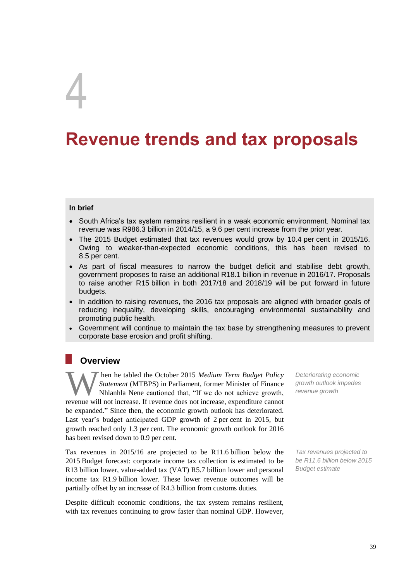# 4

# **Revenue trends and tax proposals**

# **In brief**

- South Africa's tax system remains resilient in a weak economic environment. Nominal tax revenue was R986.3 billion in 2014/15, a 9.6 per cent increase from the prior year.
- The 2015 Budget estimated that tax revenues would grow by 10.4 per cent in 2015/16. Owing to weaker-than-expected economic conditions, this has been revised to 8.5 per cent.
- As part of fiscal measures to narrow the budget deficit and stabilise debt growth, government proposes to raise an additional R18.1 billion in revenue in 2016/17. Proposals to raise another R15 billion in both 2017/18 and 2018/19 will be put forward in future budgets.
- In addition to raising revenues, the 2016 tax proposals are aligned with broader goals of reducing inequality, developing skills, encouraging environmental sustainability and promoting public health.
- Government will continue to maintain the tax base by strengthening measures to prevent corporate base erosion and profit shifting.

# **Overview**

hen he tabled the October 2015 *Medium Term Budget Policy Statement* (MTBPS) in Parliament, former Minister of Finance Nhlanhla Nene cautioned that, "If we do not achieve growth, **Then he tabled the October 2015 Medium Term Budget Policy**<br>Statement (MTBPS) in Parliament, former Minister of Finance<br>Nhlanhla Nene cautioned that, "If we do not achieve growth,<br>revenue will not increase. If revenue does be expanded." Since then, the economic growth outlook has deteriorated. Last year's budget anticipated GDP growth of 2 per cent in 2015, but growth reached only 1.3 per cent. The economic growth outlook for 2016 has been revised down to 0.9 per cent.

Tax revenues in 2015/16 are projected to be R11.6 billion below the 2015 Budget forecast: corporate income tax collection is estimated to be R13 billion lower, value-added tax (VAT) R5.7 billion lower and personal income tax R1.9 billion lower. These lower revenue outcomes will be partially offset by an increase of R4.3 billion from customs duties.

Despite difficult economic conditions, the tax system remains resilient, with tax revenues continuing to grow faster than nominal GDP. However,

*Deteriorating economic growth outlook impedes revenue growth*

*Tax revenues projected to be R11.6 billion below 2015 Budget estimate*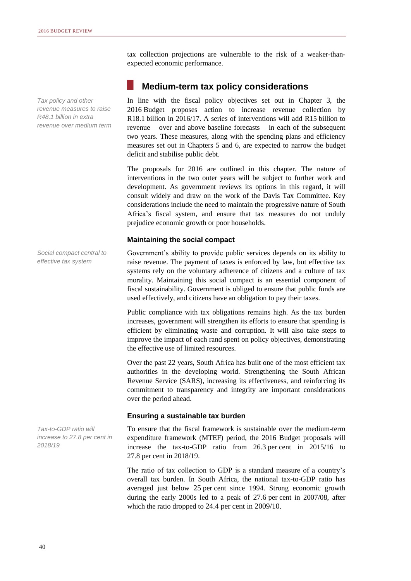*Tax policy and other revenue measures to raise R48.1 billion in extra revenue over medium term* 

*Social compact central to effective tax system*

*Tax-to-GDP ratio will increase to 27.8 per cent in 2018/19*

tax collection projections are vulnerable to the risk of a weaker-thanexpected economic performance.

# **Medium-term tax policy considerations**

In line with the fiscal policy objectives set out in Chapter 3, the 2016 Budget proposes action to increase revenue collection by R18.1 billion in 2016/17. A series of interventions will add R15 billion to revenue – over and above baseline forecasts – in each of the subsequent two years. These measures, along with the spending plans and efficiency measures set out in Chapters 5 and 6, are expected to narrow the budget deficit and stabilise public debt.

The proposals for 2016 are outlined in this chapter. The nature of interventions in the two outer years will be subject to further work and development. As government reviews its options in this regard, it will consult widely and draw on the work of the Davis Tax Committee. Key considerations include the need to maintain the progressive nature of South Africa's fiscal system, and ensure that tax measures do not unduly prejudice economic growth or poor households.

# **Maintaining the social compact**

Government's ability to provide public services depends on its ability to raise revenue. The payment of taxes is enforced by law, but effective tax systems rely on the voluntary adherence of citizens and a culture of tax morality. Maintaining this social compact is an essential component of fiscal sustainability. Government is obliged to ensure that public funds are used effectively, and citizens have an obligation to pay their taxes.

Public compliance with tax obligations remains high. As the tax burden increases, government will strengthen its efforts to ensure that spending is efficient by eliminating waste and corruption. It will also take steps to improve the impact of each rand spent on policy objectives, demonstrating the effective use of limited resources.

Over the past 22 years, South Africa has built one of the most efficient tax authorities in the developing world. Strengthening the South African Revenue Service (SARS), increasing its effectiveness, and reinforcing its commitment to transparency and integrity are important considerations over the period ahead.

# **Ensuring a sustainable tax burden**

To ensure that the fiscal framework is sustainable over the medium-term expenditure framework (MTEF) period, the 2016 Budget proposals will increase the tax-to-GDP ratio from 26.3 per cent in 2015/16 to 27.8 per cent in 2018/19.

The ratio of tax collection to GDP is a standard measure of a country's overall tax burden. In South Africa, the national tax-to-GDP ratio has averaged just below 25 per cent since 1994. Strong economic growth during the early 2000s led to a peak of 27.6 per cent in 2007/08, after which the ratio dropped to 24.4 per cent in 2009/10.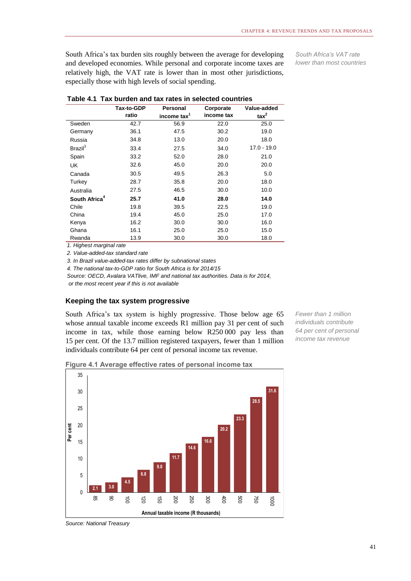South Africa's tax burden sits roughly between the average for developing and developed economies. While personal and corporate income taxes are relatively high, the VAT rate is lower than in most other jurisdictions, especially those with high levels of social spending.

*South Africa's VAT rate lower than most countries*

|                           | <b>Tax-to-GDP</b>               | <b>Personal</b>         | Corporate  | Value-added    |
|---------------------------|---------------------------------|-------------------------|------------|----------------|
|                           | ratio                           | income tax <sup>1</sup> | income tax | $\text{tax}^2$ |
| Sweden                    | 42.7                            | 56.9                    | 22.0       | 25.0           |
| Germany                   | 36.1                            | 47.5                    | 30.2       | 19.0           |
| Russia                    | 34.8                            | 13.0                    | 20.0       | 18.0           |
| Brazil <sup>3</sup>       | 33.4                            | 27.5                    | 34.0       | $17.0 - 19.0$  |
| Spain                     | 33.2                            | 52.0                    | 28.0       | 21.0           |
| <b>UK</b>                 | 32.6                            | 45.0                    | 20.0       | 20.0           |
| Canada                    | 30.5                            | 49.5                    | 26.3       | 5.0            |
| Turkey                    | 28.7                            | 35.8                    | 20.0       | 18.0           |
| Australia                 | 27.5                            | 46.5                    | 30.0       | 10.0           |
| South Africa <sup>4</sup> | 25.7                            | 41.0                    | 28.0       | 14.0           |
| Chile                     | 19.8                            | 39.5                    | 22.5       | 19.0           |
| China                     | 19.4                            | 45.0                    | 25.0       | 17.0           |
| Kenya                     | 16.2                            | 30.0                    | 30.0       | 16.0           |
| Ghana                     | 16.1                            | 25.0                    | 25.0       | 15.0           |
| Rwanda                    | 13.9<br>$\cdot$ $\cdot$ $\cdot$ | 30.0                    | 30.0       | 18.0           |

|  |  | Table 4.1 Tax burden and tax rates in selected countries |  |  |
|--|--|----------------------------------------------------------|--|--|
|--|--|----------------------------------------------------------|--|--|

*1. Highest marginal rate*

*2. Value-added-tax standard rate*

*3. In Brazil value-added-tax rates differ by subnational states*

*4. The national tax-to-GDP ratio for South Africa is for 2014/15* 

*Source: OECD, Avalara VATlive, IMF and national tax authorities. Data is for 2014, or the most recent year if this is not available*

## **Keeping the tax system progressive**

South Africa's tax system is highly progressive. Those below age 65 whose annual taxable income exceeds R1 million pay 31 per cent of such income in tax, while those earning below R250 000 pay less than 15 per cent. Of the 13.7 million registered taxpayers, fewer than 1 million individuals contribute 64 per cent of personal income tax revenue.

*Fewer than 1 million individuals contribute 64 per cent of personal income tax revenue*





*Source: National Treasury*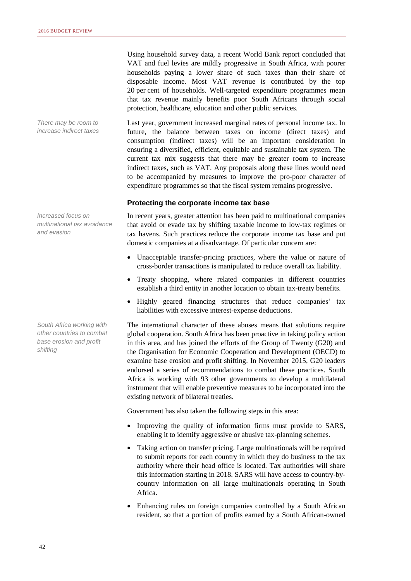*There may be room to increase indirect taxes*

*Increased focus on multinational tax avoidance and evasion* 

*South Africa working with other countries to combat base erosion and profit shifting*

Using household survey data, a recent World Bank report concluded that VAT and fuel levies are mildly progressive in South Africa, with poorer households paying a lower share of such taxes than their share of disposable income. Most VAT revenue is contributed by the top 20 per cent of households. Well-targeted expenditure programmes mean that tax revenue mainly benefits poor South Africans through social protection, healthcare, education and other public services.

Last year, government increased marginal rates of personal income tax. In future, the balance between taxes on income (direct taxes) and consumption (indirect taxes) will be an important consideration in ensuring a diversified, efficient, equitable and sustainable tax system. The current tax mix suggests that there may be greater room to increase indirect taxes, such as VAT. Any proposals along these lines would need to be accompanied by measures to improve the pro-poor character of expenditure programmes so that the fiscal system remains progressive.

### **Protecting the corporate income tax base**

In recent years, greater attention has been paid to multinational companies that avoid or evade tax by shifting taxable income to low-tax regimes or tax havens. Such practices reduce the corporate income tax base and put domestic companies at a disadvantage. Of particular concern are:

- Unacceptable transfer-pricing practices, where the value or nature of cross-border transactions is manipulated to reduce overall tax liability.
- Treaty shopping, where related companies in different countries establish a third entity in another location to obtain tax-treaty benefits.
- Highly geared financing structures that reduce companies' tax liabilities with excessive interest-expense deductions.

The international character of these abuses means that solutions require global cooperation. South Africa has been proactive in taking policy action in this area, and has joined the efforts of the Group of Twenty (G20) and the Organisation for Economic Cooperation and Development (OECD) to examine base erosion and profit shifting. In November 2015, G20 leaders endorsed a series of recommendations to combat these practices. South Africa is working with 93 other governments to develop a multilateral instrument that will enable preventive measures to be incorporated into the existing network of bilateral treaties.

Government has also taken the following steps in this area:

- Improving the quality of information firms must provide to SARS, enabling it to identify aggressive or abusive tax-planning schemes.
- Taking action on transfer pricing. Large multinationals will be required to submit reports for each country in which they do business to the tax authority where their head office is located. Tax authorities will share this information starting in 2018. SARS will have access to country-bycountry information on all large multinationals operating in South Africa.
- Enhancing rules on foreign companies controlled by a South African resident, so that a portion of profits earned by a South African-owned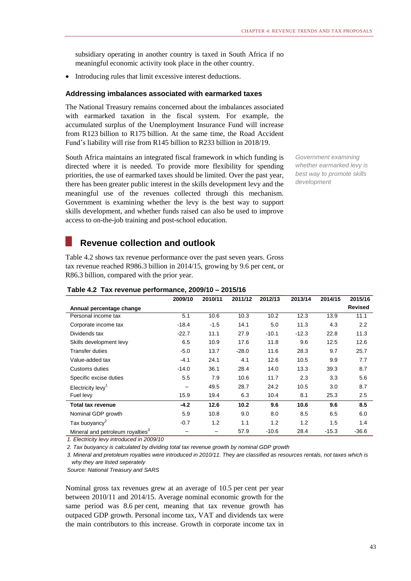subsidiary operating in another country is taxed in South Africa if no meaningful economic activity took place in the other country.

• Introducing rules that limit excessive interest deductions.

# **Addressing imbalances associated with earmarked taxes**

The National Treasury remains concerned about the imbalances associated with earmarked taxation in the fiscal system. For example, the accumulated surplus of the Unemployment Insurance Fund will increase from R123 billion to R175 billion. At the same time, the Road Accident Fund's liability will rise from R145 billion to R233 billion in 2018/19.

South Africa maintains an integrated fiscal framework in which funding is directed where it is needed. To provide more flexibility for spending priorities, the use of earmarked taxes should be limited. Over the past year, there has been greater public interest in the skills development levy and the meaningful use of the revenues collected through this mechanism. Government is examining whether the levy is the best way to support skills development, and whether funds raised can also be used to improve access to on-the-job training and post-school education.

*Government examining whether earmarked levy is best way to promote skills development*

# **Revenue collection and outlook**

Table 4.2 shows tax revenue performance over the past seven years. Gross tax revenue reached R986.3 billion in 2014/15, growing by 9.6 per cent, or R86.3 billion, compared with the prior year.

|                                              | 2009/10 | 2010/11                  | 2011/12 | 2012/13 | 2013/14 | 2014/15 | 2015/16        |
|----------------------------------------------|---------|--------------------------|---------|---------|---------|---------|----------------|
| Annual percentage change                     |         |                          |         |         |         |         | <b>Revised</b> |
| Personal income tax                          | 5.1     | 10.6                     | 10.3    | 10.2    | 12.3    | 13.9    | 11.1           |
| Corporate income tax                         | $-18.4$ | $-1.5$                   | 14.1    | 5.0     | 11.3    | 4.3     | 2.2            |
| Dividends tax                                | $-22.7$ | 11.1                     | 27.9    | $-10.1$ | $-12.3$ | 22.8    | 11.3           |
| Skills development levy                      | 6.5     | 10.9                     | 17.6    | 11.8    | 9.6     | 12.5    | 12.6           |
| <b>Transfer duties</b>                       | $-5.0$  | 13.7                     | $-28.0$ | 11.6    | 28.3    | 9.7     | 25.7           |
| Value-added tax                              | $-4.1$  | 24.1                     | 4.1     | 12.6    | 10.5    | 9.9     | 7.7            |
| Customs duties                               | $-14.0$ | 36.1                     | 28.4    | 14.0    | 13.3    | 39.3    | 8.7            |
| Specific excise duties                       | 5.5     | 7.9                      | 10.6    | 11.7    | 2.3     | 3.3     | 5.6            |
| Electricity levy <sup>1</sup>                | —       | 49.5                     | 28.7    | 24.2    | 10.5    | 3.0     | 8.7            |
| Fuel levy                                    | 15.9    | 19.4                     | 6.3     | 10.4    | 8.1     | 25.3    | 2.5            |
| <b>Total tax revenue</b>                     | $-4.2$  | 12.6                     | 10.2    | 9.6     | 10.6    | 9.6     | 8.5            |
| Nominal GDP growth                           | 5.9     | 10.8                     | 9.0     | 8.0     | 8.5     | 6.5     | 6.0            |
| Tax buoyancy <sup>2</sup>                    | $-0.7$  | 1.2                      | 1.1     | 1.2     | 1.2     | 1.5     | 1.4            |
| Mineral and petroleum royalties <sup>3</sup> | —       | $\overline{\phantom{0}}$ | 57.9    | $-10.6$ | 28.4    | $-15.3$ | $-36.6$        |

# **Table 4.2 Tax revenue performance, 2009/10 – 2015/16**

*1. Electricity levy introduced in 2009/10*

*2. Tax buoyancy is calculated by dividing total tax revenue growth by nominal GDP growth*

*3. Mineral and pretoleum royalties were introduced in 2010/11. They are classified as resources rentals, not taxes which is why they are listed seperately* 

*Source: National Treasury and SARS*

Nominal gross tax revenues grew at an average of 10.5 per cent per year between 2010/11 and 2014/15. Average nominal economic growth for the same period was 8.6 per cent, meaning that tax revenue growth has outpaced GDP growth. Personal income tax, VAT and dividends tax were the main contributors to this increase. Growth in corporate income tax in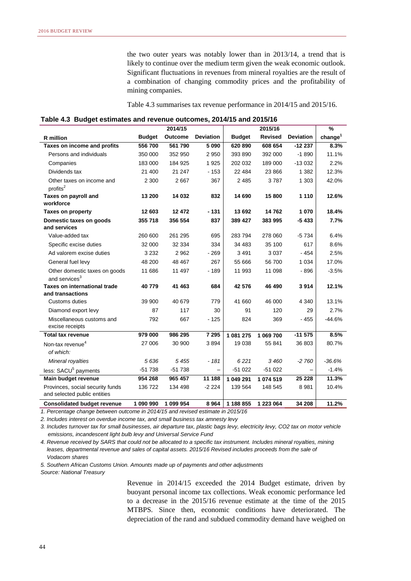the two outer years was notably lower than in 2013/14, a trend that is likely to continue over the medium term given the weak economic outlook. Significant fluctuations in revenues from mineral royalties are the result of a combination of changing commodity prices and the profitability of mining companies.

Table 4.3 summarises tax revenue performance in 2014/15 and 2015/16.

| Table 4.3 Budget estimates and revenue outcomes, 2014/15 and 2015/16 |  |
|----------------------------------------------------------------------|--|
|----------------------------------------------------------------------|--|

|                                                                  |               | 2014/15        |                   |               | 2015/16        |                  | $\%$                |
|------------------------------------------------------------------|---------------|----------------|-------------------|---------------|----------------|------------------|---------------------|
| R million                                                        | <b>Budget</b> | <b>Outcome</b> | <b>Deviation</b>  | <b>Budget</b> | <b>Revised</b> | <b>Deviation</b> | change <sup>1</sup> |
| Taxes on income and profits                                      | 556 700       | 561790         | 5 0 9 0           | 620 890       | 608 654        | $-12237$         | 8.3%                |
| Persons and individuals                                          | 350 000       | 352 950        | 2 9 5 0           | 393 890       | 392 000        | $-1890$          | 11.1%               |
| Companies                                                        | 183 000       | 184 925        | 1925              | 202 032       | 189 000        | $-13032$         | 2.2%                |
| Dividends tax                                                    | 21 400        | 21 247         | $-153$            | 22 4 84       | 23 8 66        | 1 3 8 2          | 12.3%               |
| Other taxes on income and<br>profits <sup>2</sup>                | 2 3 0 0       | 2667           | 367               | 2 4 8 5       | 3787           | 1 303            | 42.0%               |
| Taxes on payroll and<br>workforce                                | 13 200        | 14 032         | 832               | 14 690        | 15 800         | 1 1 1 0          | 12.6%               |
| <b>Taxes on property</b>                                         | 12 603        | 12 472         | - 131             | 13 692        | 14762          | 1070             | 18.4%               |
| Domestic taxes on goods<br>and services                          | 355 718       | 356 554        | 837               | 389 427       | 383 995        | $-5433$          | 7.7%                |
| Value-added tax                                                  | 260 600       | 261 295        | 695               | 283794        | 278 060        | $-5734$          | 6.4%                |
| Specific excise duties                                           | 32 000        | 32 334         | 334               | 34 483        | 35 100         | 617              | 8.6%                |
| Ad valorem excise duties                                         | 3 2 3 2       | 2 9 6 2        | $-269$            | 3 4 9 1       | 3 0 3 7        | $-454$           | 2.5%                |
| General fuel levy                                                | 48 200        | 48 467         | 267               | 55 666        | 56 700         | 1 0 3 4          | 17.0%               |
| Other domestic taxes on goods<br>and services <sup>3</sup>       | 11 686        | 11 497         | $-189$            | 11 993        | 11 098         | $-896$           | $-3.5%$             |
| <b>Taxes on international trade</b>                              | 40779         | 41 463         | 684               | 42 576        | 46 490         | 3914             | 12.1%               |
| and transactions                                                 |               |                |                   |               |                |                  |                     |
| Customs duties                                                   | 39 900        | 40 679         | 779               | 41 660        | 46 000         | 4 3 4 0          | 13.1%               |
| Diamond export levy                                              | 87            | 117            | 30                | 91            | 120            | 29               | 2.7%                |
| Miscellaneous customs and<br>excise receipts                     | 792           | 667            | $-125$            | 824           | 369            | $-455$           | $-44.6%$            |
| <b>Total tax revenue</b>                                         | 979 000       | 986 295        | 7 2 9 5           | 1 081 275     | 1 069 700      | $-11575$         | 8.5%                |
| Non-tax revenue <sup>4</sup><br>of which:                        | 27 006        | 30 900         | 3894              | 19 0 38       | 55 841         | 36 803           | 80.7%               |
| Mineral royalties                                                | 5636          | 5 4 5 5        | $-181$            | 6221          | 3460           | -2 760           | $-36.6%$            |
| less: SACU <sup>5</sup> payments                                 | $-51738$      | $-51738$       | $\qquad \qquad -$ | $-51022$      | $-51022$       |                  | $-1.4%$             |
| Main budget revenue                                              | 954 268       | 965 457        | 11 188            | 1 049 291     | 1 074 519      | 25 2 28          | 11.3%               |
| Provinces, social security funds<br>and selected public entities | 136 722       | 134 498        | $-2224$           | 139 564       | 148 545        | 8981             | 10.4%               |
| <b>Consolidated budget revenue</b>                               | 1 090 990     | 1 099 954      | 8964              | 1 188 855     | 1 223 064      | 34 208           | 11.2%               |

*1. Percentage change between outcome in 2014/15 and revised estimate in 2015/16*

*2. Includes interest on overdue income tax, and small business tax amnesty levy*

*3. Includes turnover tax for small businesses, air departure tax, plastic bags levy, electricity levy, CO2 tax on motor vehicle emissions, incandescent light bulb levy and Universal Service Fund*

*4. Revenue received by SARS that could not be allocated to a specific tax instrument. Includes mineral royalties, mining leases, departmental revenue and sales of capital assets. 2015/16 Revised includes proceeds from the sale of Vodacom shares*

*5. Southern African Customs Union. Amounts made up of payments and other adjustments* 

*Source: National Treasury* 

Revenue in 2014/15 exceeded the 2014 Budget estimate, driven by buoyant personal income tax collections. Weak economic performance led to a decrease in the 2015/16 revenue estimate at the time of the 2015 MTBPS. Since then, economic conditions have deteriorated. The depreciation of the rand and subdued commodity demand have weighed on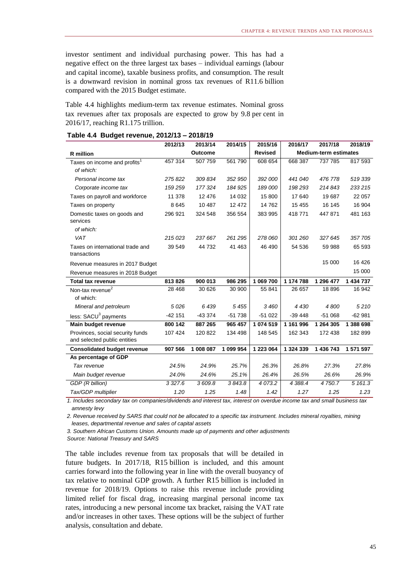investor sentiment and individual purchasing power. This has had a negative effect on the three largest tax bases – individual earnings (labour and capital income), taxable business profits, and consumption. The result is a downward revision in nominal gross tax revenues of R11.6 billion compared with the 2015 Budget estimate.

Table 4.4 highlights medium-term tax revenue estimates. Nominal gross tax revenues after tax proposals are expected to grow by 9.8 per cent in 2016/17, reaching R1.175 trillion.

|                                          | 2012/13   | 2013/14        | 2014/15   | 2015/16        | 2016/17   | 2017/18                      | 2018/19   |
|------------------------------------------|-----------|----------------|-----------|----------------|-----------|------------------------------|-----------|
| R million                                |           | <b>Outcome</b> |           | <b>Revised</b> |           | <b>Medium-term estimates</b> |           |
| Taxes on income and profits <sup>1</sup> | 457 314   | 507 759        | 561 790   | 608 654        | 668 387   | 737 785                      | 817 593   |
| of which:                                |           |                |           |                |           |                              |           |
| Personal income tax                      | 275822    | 309 834        | 352 950   | 392 000        | 441 040   | 476 778                      | 519 339   |
| Corporate income tax                     | 159 259   | 177 324        | 184 925   | 189 000        | 198 293   | 214843                       | 233215    |
| Taxes on payroll and workforce           | 11 378    | 12 4 76        | 14 0 32   | 15 800         | 17 640    | 19687                        | 22 057    |
| Taxes on property                        | 8645      | 10 487         | 12 472    | 14762          | 15 4 55   | 16 145                       | 16 904    |
| Domestic taxes on goods and              | 296 921   | 324 548        | 356 554   | 383 995        | 418771    | 447871                       | 481 163   |
| services                                 |           |                |           |                |           |                              |           |
| of which:                                |           |                |           |                |           |                              |           |
| VAT                                      | 215023    | 237 667        | 261 295   | 278 060        | 301 260   | 327645                       | 357 705   |
| Taxes on international trade and         | 39 549    | 44 732         | 41 463    | 46 490         | 54 536    | 59 988                       | 65 593    |
| transactions                             |           |                |           |                |           |                              |           |
| Revenue measures in 2017 Budget          |           |                |           |                |           | 15 000                       | 16 4 26   |
| Revenue measures in 2018 Budget          |           |                |           |                |           |                              | 15 000    |
| <b>Total tax revenue</b>                 | 813826    | 900 013        | 986 295   | 1 069 700      | 1 174 788 | 1 296 477                    | 1 434 737 |
| Non-tax revenue <sup>2</sup>             | 28 4 68   | 30 626         | 30 900    | 55 841         | 26 657    | 18896                        | 16 942    |
| of which:                                |           |                |           |                |           |                              |           |
| Mineral and petroleum                    | 5026      | 6439           | 5 4 5 5   | 3 460          | 4 4 3 0   | 4800                         | 5210      |
| less: SACU <sup>3</sup> payments         | $-42151$  | $-433374$      | $-51738$  | $-51022$       | $-39448$  | $-51068$                     | $-62981$  |
| Main budget revenue                      | 800 142   | 887 265        | 965 457   | 1 074 519      | 1 161 996 | 1 264 305                    | 1 388 698 |
| Provinces, social security funds         | 107 424   | 120 822        | 134 498   | 148 545        | 162 343   | 172 438                      | 182 899   |
| and selected public entities             |           |                |           |                |           |                              |           |
| <b>Consolidated budget revenue</b>       | 907 566   | 1 008 087      | 1 099 954 | 1 223 064      | 1 324 339 | 1 436 743                    | 1 571 597 |
| As percentage of GDP                     |           |                |           |                |           |                              |           |
| Tax revenue                              | 24.5%     | 24.9%          | 25.7%     | 26.3%          | 26.8%     | 27.3%                        | 27.8%     |
| Main budget revenue                      | 24.0%     | 24.6%          | 25.1%     | 26.4%          | 26.5%     | 26.6%                        | 26.9%     |
| GDP (R billion)                          | 3 3 2 7.6 | 3609.8         | 3843.8    | 4 0 7 3.2      | 4 3 8 8.4 | 4750.7                       | 5 161.3   |
| Tax/GDP multiplier                       | 1.20      | 1.25           | 1.48      | 1.42           | 1.27      | 1.25                         | 1.23      |

### **Table 4.4 Budget revenue, 2012/13 – 2018/19**

*1. Includes secondary tax on companies/dividends and interest tax, interest on overdue income tax and small business tax amnesty levy*

*2. Revenue received by SARS that could not be allocated to a specific tax instrument. Includes mineral royalties, mining leases, departmental revenue and sales of capital assets*

*3. Southern African Customs Union. Amounts made up of payments and other adjustments* 

*Source: National Treasury and SARS*

The table includes revenue from tax proposals that will be detailed in future budgets. In 2017/18, R15 billion is included, and this amount carries forward into the following year in line with the overall buoyancy of tax relative to nominal GDP growth. A further R15 billion is included in revenue for 2018/19. Options to raise this revenue include providing limited relief for fiscal drag, increasing marginal personal income tax rates, introducing a new personal income tax bracket, raising the VAT rate and/or increases in other taxes. These options will be the subject of further analysis, consultation and debate.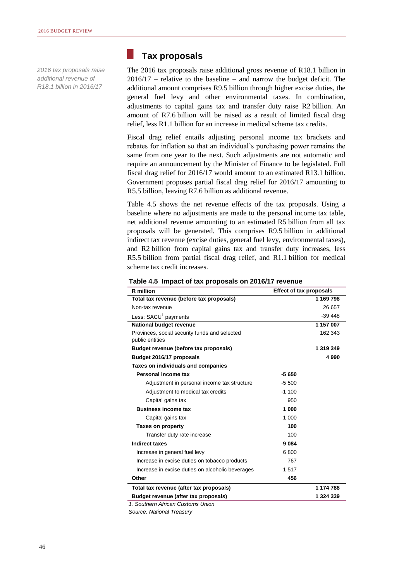*2016 tax proposals raise additional revenue of R18.1 billion in 2016/17*

# **Tax proposals**

k.

The 2016 tax proposals raise additional gross revenue of R18.1 billion in  $2016/17$  – relative to the baseline – and narrow the budget deficit. The additional amount comprises R9.5 billion through higher excise duties, the general fuel levy and other environmental taxes. In combination, adjustments to capital gains tax and transfer duty raise R2 billion. An amount of R7.6 billion will be raised as a result of limited fiscal drag relief, less R1.1 billion for an increase in medical scheme tax credits.

Fiscal drag relief entails adjusting personal income tax brackets and rebates for inflation so that an individual's purchasing power remains the same from one year to the next. Such adjustments are not automatic and require an announcement by the Minister of Finance to be legislated. Full fiscal drag relief for 2016/17 would amount to an estimated R13.1 billion. Government proposes partial fiscal drag relief for 2016/17 amounting to R5.5 billion, leaving R7.6 billion as additional revenue.

Table 4.5 shows the net revenue effects of the tax proposals. Using a baseline where no adjustments are made to the personal income tax table, net additional revenue amounting to an estimated R5 billion from all tax proposals will be generated. This comprises R9.5 billion in additional indirect tax revenue (excise duties, general fuel levy, environmental taxes), and R2 billion from capital gains tax and transfer duty increases, less R5.5 billion from partial fiscal drag relief, and R1.1 billion for medical scheme tax credit increases.

| <b>R</b> million                                                 | <b>Effect of tax proposals</b> |           |
|------------------------------------------------------------------|--------------------------------|-----------|
| Total tax revenue (before tax proposals)                         |                                | 1 169 798 |
| Non-tax revenue                                                  |                                | 26 657    |
| Less: SACU <sup>1</sup> payments                                 |                                | $-39448$  |
| National budget revenue                                          |                                | 1 157 007 |
| Provinces, social security funds and selected<br>public entities |                                | 162 343   |
| Budget revenue (before tax proposals)                            |                                | 1 319 349 |
| Budget 2016/17 proposals                                         |                                | 4 9 9 0   |
| Taxes on individuals and companies                               |                                |           |
| Personal income tax                                              | $-5650$                        |           |
| Adjustment in personal income tax structure                      | $-5.500$                       |           |
| Adjustment to medical tax credits                                | $-1100$                        |           |
| Capital gains tax                                                | 950                            |           |
| <b>Business income tax</b>                                       | 1 000                          |           |
| Capital gains tax                                                | 1 000                          |           |
| <b>Taxes on property</b>                                         | 100                            |           |
| Transfer duty rate increase                                      | 100                            |           |
| <b>Indirect taxes</b>                                            | 9084                           |           |
| Increase in general fuel levy                                    | 6800                           |           |
| Increase in excise duties on tobacco products                    | 767                            |           |
| Increase in excise duties on alcoholic beverages                 | 1517                           |           |
| Other                                                            | 456                            |           |
| Total tax revenue (after tax proposals)                          |                                | 1 174 788 |
| Budget revenue (after tax proposals)                             |                                | 1 324 339 |
| 1. Southern African Customs Union                                |                                |           |

**Table 4.5 Impact of tax proposals on 2016/17 revenue**

*Source: National Treasury*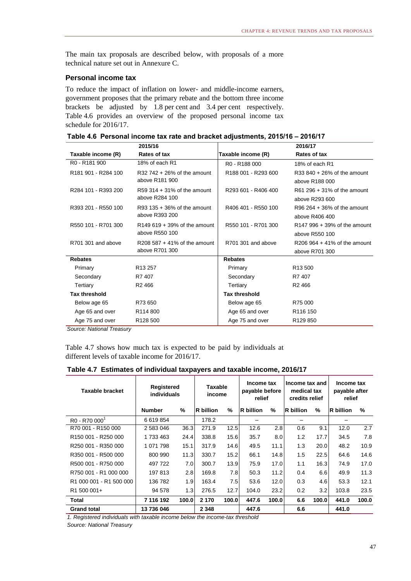The main tax proposals are described below, with proposals of a more technical nature set out in Annexure C.

# **Personal income tax**

To reduce the impact of inflation on lower- and middle-income earners, government proposes that the primary rebate and the bottom three income brackets be adjusted by 1.8 per cent and 3.4 per cent respectively. Table 4.6 provides an overview of the proposed personal income tax schedule for 2016/17.

|  |  |  |  |  | Table 4.6 Personal income tax rate and bracket adjustments, 2015/16 - 2016/17 |  |  |
|--|--|--|--|--|-------------------------------------------------------------------------------|--|--|
|--|--|--|--|--|-------------------------------------------------------------------------------|--|--|

|                                             | 2015/16                        |                                       | 2016/17                        |
|---------------------------------------------|--------------------------------|---------------------------------------|--------------------------------|
| Taxable income (R)                          | Rates of tax                   | Taxable income (R)                    | Rates of tax                   |
| R <sub>0</sub> - R <sub>181</sub> 900       | 18% of each R1                 | R <sub>0</sub> - R <sub>188</sub> 000 | 18% of each R1                 |
| R <sub>181</sub> 901 - R <sub>284</sub> 100 | $R32742 + 26%$ of the amount   | R188 001 - R293 600                   | $R33840 + 26%$ of the amount   |
|                                             | above R181 900                 |                                       | above R188 000                 |
| R284 101 - R393 200                         | $R59.314 + 31\%$ of the amount | R293 601 - R406 400                   | $R61 296 + 31%$ of the amount  |
|                                             | above R284 100                 |                                       | above R293 600                 |
| R393 201 - R550 100                         | $R93$ 135 + 36% of the amount  | R406 401 - R550 100                   | R96 $264 + 36%$ of the amount  |
|                                             | above R393 200                 |                                       | above R406 400                 |
| R550 101 - R701 300                         | $R149619 + 39%$ of the amount  | R550 101 - R701 300                   | $R147996 + 39%$ of the amount  |
|                                             | above R550 100                 |                                       | above R550 100                 |
| R701 301 and above                          | $R208587 + 41\%$ of the amount | R701 301 and above                    | $R206964 + 41\%$ of the amount |
|                                             | above R701 300                 |                                       | above R701 300                 |
| <b>Rebates</b>                              |                                | <b>Rebates</b>                        |                                |
| Primary                                     | R <sub>13</sub> 257            | Primary                               | R <sub>13</sub> 500            |
| Secondary                                   | R7 407                         | Secondary                             | R7 407                         |
| Tertiary                                    | R <sub>2</sub> 466             | Tertiary                              | R <sub>2</sub> 466             |
| <b>Tax threshold</b>                        |                                | <b>Tax threshold</b>                  |                                |
| Below age 65                                | R73 650                        | Below age 65                          | R75 000                        |
| Age 65 and over                             | R <sub>114</sub> 800           | Age 65 and over                       | R <sub>116</sub> 150           |
| Age 75 and over                             | R <sub>128</sub> 500           | Age 75 and over                       | R <sub>129</sub> 850           |

*Source: National Treasury*

Table 4.7 shows how much tax is expected to be paid by individuals at different levels of taxable income for 2016/17.

**Table 4.7 Estimates of individual taxpayers and taxable income, 2016/17**

| <b>Taxable bracket</b>                            | Registered<br>individuals |       | <b>Taxable</b><br>income |               | Income tax<br>payable before<br>relief |       | Income tax and<br>medical tax<br>credits relief |       | Income tax<br>payable after<br>relief |       |
|---------------------------------------------------|---------------------------|-------|--------------------------|---------------|----------------------------------------|-------|-------------------------------------------------|-------|---------------------------------------|-------|
|                                                   | <b>Number</b>             | $\%$  | <b>R</b> billion         | $\frac{9}{6}$ | <b>R</b> billion                       | $\%$  | R billion                                       | $\%$  | $\overline{\mathsf{R}}$ billion       | $\%$  |
| R <sub>0</sub> - R <sub>70</sub> 000 <sup>1</sup> | 6 619 854                 |       | 178.2                    |               |                                        |       |                                                 |       |                                       |       |
| R70 001 - R150 000                                | 2 583 046                 | 36.3  | 271.9                    | 12.5          | 12.6                                   | 2.8   | 0.6                                             | 9.1   | 12.0                                  | 2.7   |
| R150 001 - R250 000                               | 1 733 463                 | 24.4  | 338.8                    | 15.6          | 35.7                                   | 8.0   | 1.2                                             | 17.7  | 34.5                                  | 7.8   |
| R250 001 - R350 000                               | 1 071 798                 | 15.1  | 317.9                    | 14.6          | 49.5                                   | 11.1  | 1.3                                             | 20.0  | 48.2                                  | 10.9  |
| R350 001 - R500 000                               | 800 990                   | 11.3  | 330.7                    | 15.2          | 66.1                                   | 14.8  | 1.5                                             | 22.5  | 64.6                                  | 14.6  |
| R500 001 - R750 000                               | 497 722                   | 7.0   | 300.7                    | 13.9          | 75.9                                   | 17.0  | 1.1                                             | 16.3  | 74.9                                  | 17.0  |
| R750 001 - R1 000 000                             | 197813                    | 2.8   | 169.8                    | 7.8           | 50.3                                   | 11.2  | 0.4                                             | 6.6   | 49.9                                  | 11.3  |
| R1 000 001 - R1 500 000                           | 136 782                   | 1.9   | 163.4                    | 7.5           | 53.6                                   | 12.0  | 0.3                                             | 4.6   | 53.3                                  | 12.1  |
| R1 500 001+                                       | 94 578                    | 1.3   | 276.5                    | 12.7          | 104.0                                  | 23.2  | 0.2                                             | 3.2   | 103.8                                 | 23.5  |
| Total                                             | 7 116 192                 | 100.0 | 2 1 7 0                  | 100.0         | 447.6                                  | 100.0 | 6.6                                             | 100.0 | 441.0                                 | 100.0 |
| <b>Grand total</b>                                | 13 736 046                |       | 2 3 4 8                  |               | 447.6                                  |       | 6.6                                             |       | 441.0                                 |       |

*1. Registered individuals with taxable income below the income-tax threshold*

*Source: National Treasury*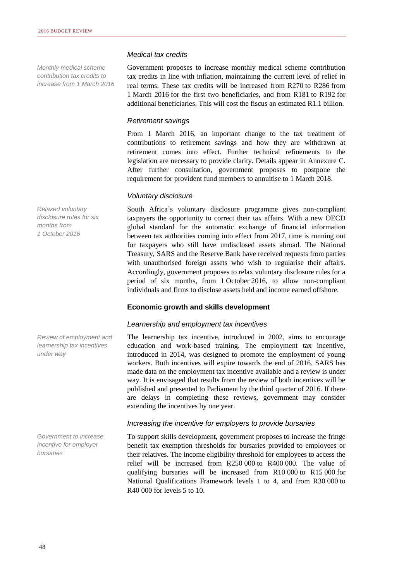*Monthly medical scheme contribution tax credits to increase from 1 March 2016*

*Relaxed voluntary disclosure rules for six months from 1 October 2016*

*Review of employment and learnership tax incentives under way* 

*Government to increase incentive for employer bursaries*

### *Medical tax credits*

Government proposes to increase monthly medical scheme contribution tax credits in line with inflation, maintaining the current level of relief in real terms. These tax credits will be increased from R270 to R286 from 1 March 2016 for the first two beneficiaries, and from R181 to R192 for additional beneficiaries. This will cost the fiscus an estimated R1.1 billion.

# *Retirement savings*

From 1 March 2016, an important change to the tax treatment of contributions to retirement savings and how they are withdrawn at retirement comes into effect. Further technical refinements to the legislation are necessary to provide clarity. Details appear in Annexure C. After further consultation, government proposes to postpone the requirement for provident fund members to annuitise to 1 March 2018.

# *Voluntary disclosure*

South Africa's voluntary disclosure programme gives non-compliant taxpayers the opportunity to correct their tax affairs. With a new OECD global standard for the automatic exchange of financial information between tax authorities coming into effect from 2017, time is running out for taxpayers who still have undisclosed assets abroad. The National Treasury, SARS and the Reserve Bank have received requests from parties with unauthorised foreign assets who wish to regularise their affairs. Accordingly, government proposes to relax voluntary disclosure rules for a period of six months, from 1 October 2016, to allow non-compliant individuals and firms to disclose assets held and income earned offshore.

# **Economic growth and skills development**

# *Learnership and employment tax incentives*

The learnership tax incentive, introduced in 2002, aims to encourage education and work-based training. The employment tax incentive, introduced in 2014, was designed to promote the employment of young workers. Both incentives will expire towards the end of 2016. SARS has made data on the employment tax incentive available and a review is under way. It is envisaged that results from the review of both incentives will be published and presented to Parliament by the third quarter of 2016. If there are delays in completing these reviews, government may consider extending the incentives by one year.

# *Increasing the incentive for employers to provide bursaries*

To support skills development, government proposes to increase the fringe benefit tax exemption thresholds for bursaries provided to employees or their relatives. The income eligibility threshold for employees to access the relief will be increased from R250 000 to R400 000. The value of qualifying bursaries will be increased from R10 000 to R15 000 for National Qualifications Framework levels 1 to 4, and from R30 000 to R40 000 for levels 5 to 10.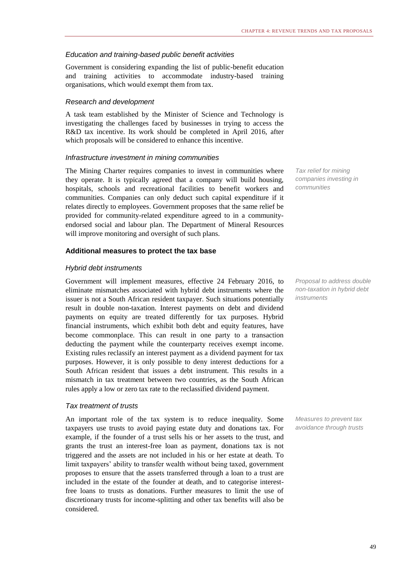# *Education and training-based public benefit activities*

Government is considering expanding the list of public-benefit education and training activities to accommodate industry-based training organisations, which would exempt them from tax.

# *Research and development*

A task team established by the Minister of Science and Technology is investigating the challenges faced by businesses in trying to access the R&D tax incentive. Its work should be completed in April 2016, after which proposals will be considered to enhance this incentive.

# *Infrastructure investment in mining communities*

The Mining Charter requires companies to invest in communities where they operate. It is typically agreed that a company will build housing, hospitals, schools and recreational facilities to benefit workers and communities. Companies can only deduct such capital expenditure if it relates directly to employees. Government proposes that the same relief be provided for community-related expenditure agreed to in a communityendorsed social and labour plan. The Department of Mineral Resources will improve monitoring and oversight of such plans.

# **Additional measures to protect the tax base**

# *Hybrid debt instruments*

Government will implement measures, effective 24 February 2016, to eliminate mismatches associated with hybrid debt instruments where the issuer is not a South African resident taxpayer. Such situations potentially result in double non-taxation. Interest payments on debt and dividend payments on equity are treated differently for tax purposes. Hybrid financial instruments, which exhibit both debt and equity features, have become commonplace. This can result in one party to a transaction deducting the payment while the counterparty receives exempt income. Existing rules reclassify an interest payment as a dividend payment for tax purposes. However, it is only possible to deny interest deductions for a South African resident that issues a debt instrument. This results in a mismatch in tax treatment between two countries, as the South African rules apply a low or zero tax rate to the reclassified dividend payment.

# *Tax treatment of trusts*

An important role of the tax system is to reduce inequality. Some taxpayers use trusts to avoid paying estate duty and donations tax. For example, if the founder of a trust sells his or her assets to the trust, and grants the trust an interest-free loan as payment, donations tax is not triggered and the assets are not included in his or her estate at death. To limit taxpayers' ability to transfer wealth without being taxed, government proposes to ensure that the assets transferred through a loan to a trust are included in the estate of the founder at death, and to categorise interestfree loans to trusts as donations. Further measures to limit the use of discretionary trusts for income-splitting and other tax benefits will also be considered.

*Tax relief for mining companies investing in communities*

*Proposal to address double non-taxation in hybrid debt instruments*

*Measures to prevent tax avoidance through trusts*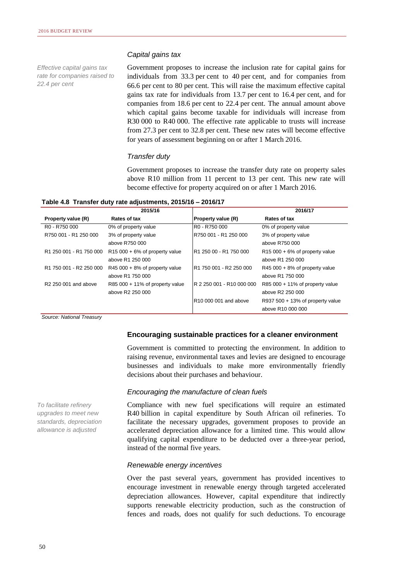*Effective capital gains tax rate for companies raised to 22.4 per cent*

### *Capital gains tax*

Government proposes to increase the inclusion rate for capital gains for individuals from 33.3 per cent to 40 per cent, and for companies from 66.6 per cent to 80 per cent. This will raise the maximum effective capital gains tax rate for individuals from 13.7 per cent to 16.4 per cent, and for companies from 18.6 per cent to 22.4 per cent. The annual amount above which capital gains become taxable for individuals will increase from R30 000 to R40 000. The effective rate applicable to trusts will increase from 27.3 per cent to 32.8 per cent. These new rates will become effective for years of assessment beginning on or after 1 March 2016.

### *Transfer duty*

Government proposes to increase the transfer duty rate on property sales above R10 million from 11 percent to 13 per cent. This new rate will become effective for property acquired on or after 1 March 2016.

|  |  |  |  |  |  |  | Table 4.8 Transfer duty rate adjustments, 2015/16 – 2016/17 |  |  |
|--|--|--|--|--|--|--|-------------------------------------------------------------|--|--|
|--|--|--|--|--|--|--|-------------------------------------------------------------|--|--|

|                                       | 2015/16                           |                           | 2016/17                            |
|---------------------------------------|-----------------------------------|---------------------------|------------------------------------|
| Property value (R)                    | Rates of tax                      | <b>Property value (R)</b> | Rates of tax                       |
| R <sub>0</sub> - R <sub>750</sub> 000 | 0% of property value              | R0 - R750 000             | 0% of property value               |
| R750 001 - R1 250 000                 | 3% of property value              | R750 001 - R1 250 000     | 3% of property value               |
|                                       | above R750 000                    |                           | above R750 000                     |
| R1 250 001 - R1 750 000               | $R15000 + 6%$ of property value   | R1 250 00 - R1 750 000    | $R15000 + 6%$ of property value    |
|                                       | above R1 250 000                  |                           | above R1 250 000                   |
| R1 750 001 - R2 250 000               | R45 000 + 8% of property value    | IR1 750 001 - R2 250 000  | $R45000 + 8%$ of property value    |
|                                       | above R1 750 000                  |                           | above R1 750 000                   |
| R <sub>2</sub> 250 001 and above      | $R85000 + 11\%$ of property value | R 2 250 001 - R10 000 000 | R85 000 + 11% of property value    |
|                                       | above R2 250 000                  |                           | above R2 250 000                   |
|                                       |                                   | R10 000 001 and above     | $R937 500 + 13%$ of property value |
|                                       |                                   |                           | above R10 000 000                  |

*Source: National Treasury*

# *To facilitate refinery upgrades to meet new standards, depreciation allowance is adjusted*

### **Encouraging sustainable practices for a cleaner environment**

Government is committed to protecting the environment. In addition to raising revenue, environmental taxes and levies are designed to encourage businesses and individuals to make more environmentally friendly decisions about their purchases and behaviour.

### *Encouraging the manufacture of clean fuels*

Compliance with new fuel specifications will require an estimated R40 billion in capital expenditure by South African oil refineries. To facilitate the necessary upgrades, government proposes to provide an accelerated depreciation allowance for a limited time. This would allow qualifying capital expenditure to be deducted over a three-year period, instead of the normal five years.

### *Renewable energy incentives*

Over the past several years, government has provided incentives to encourage investment in renewable energy through targeted accelerated depreciation allowances. However, capital expenditure that indirectly supports renewable electricity production, such as the construction of fences and roads, does not qualify for such deductions. To encourage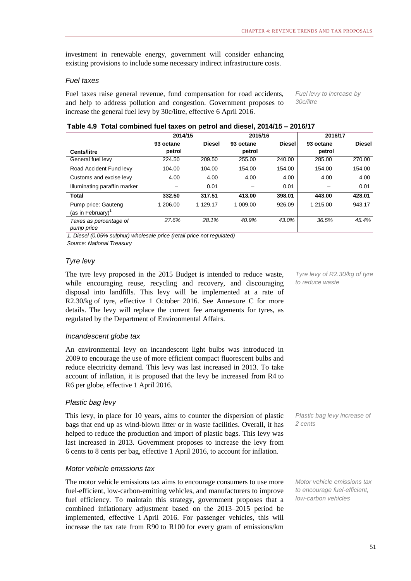investment in renewable energy, government will consider enhancing existing provisions to include some necessary indirect infrastructure costs.

# *Fuel taxes*

Fuel taxes raise general revenue, fund compensation for road accidents, and help to address pollution and congestion. Government proposes to increase the general fuel levy by 30c/litre, effective 6 April 2016.

*Fuel levy to increase by 30c/litre*

## **Table 4.9 Total combined fuel taxes on petrol and diesel, 2014/15 – 2016/17**

|                                             | 2014/15   |               | 2015/16   |               | 2016/17   |               |
|---------------------------------------------|-----------|---------------|-----------|---------------|-----------|---------------|
|                                             | 93 octane | <b>Diesel</b> | 93 octane | <b>Diesel</b> | 93 octane | <b>Diesel</b> |
| <b>Cents/litre</b>                          | petrol    |               | petrol    |               | petrol    |               |
| General fuel levy                           | 224.50    | 209.50        | 255.00    | 240.00        | 285.00    | 270.00        |
| Road Accident Fund levy                     | 104.00    | 104.00        | 154.00    | 154.00        | 154.00    | 154.00        |
| Customs and excise levy                     | 4.00      | 4.00          | 4.00      | 4.00          | 4.00      | 4.00          |
| Illuminating paraffin marker                |           | 0.01          |           | 0.01          |           | 0.01          |
| <b>Total</b>                                | 332.50    | 317.51        | 413.00    | 398.01        | 443.00    | 428.01        |
| Pump price: Gauteng<br>(as in February) $1$ | 1 206.00  | 1 129.17      | 1 009.00  | 926.09        | 1 215.00  | 943.17        |
| Taxes as percentage of<br>pump price        | 27.6%     | 28.1%         | 40.9%     | 43.0%         | 36.5%     | 45.4%         |

*1. Diesel (0.05% sulphur) wholesale price (retail price not regulated)*

*Source: National Treasury*

# *Tyre levy*

The tyre levy proposed in the 2015 Budget is intended to reduce waste, while encouraging reuse, recycling and recovery, and discouraging disposal into landfills. This levy will be implemented at a rate of R2.30/kg of tyre, effective 1 October 2016. See Annexure C for more details. The levy will replace the current fee arrangements for tyres, as regulated by the Department of Environmental Affairs.

# *Incandescent globe tax*

An environmental levy on incandescent light bulbs was introduced in 2009 to encourage the use of more efficient compact fluorescent bulbs and reduce electricity demand. This levy was last increased in 2013. To take account of inflation, it is proposed that the levy be increased from R4 to R6 per globe, effective 1 April 2016.

# *Plastic bag levy*

This levy, in place for 10 years, aims to counter the dispersion of plastic bags that end up as wind-blown litter or in waste facilities. Overall, it has helped to reduce the production and import of plastic bags. This levy was last increased in 2013. Government proposes to increase the levy from 6 cents to 8 cents per bag, effective 1 April 2016, to account for inflation.

# *Motor vehicle emissions tax*

The motor vehicle emissions tax aims to encourage consumers to use more fuel-efficient, low-carbon-emitting vehicles, and manufacturers to improve fuel efficiency. To maintain this strategy, government proposes that a combined inflationary adjustment based on the 2013–2015 period be implemented, effective 1 April 2016. For passenger vehicles, this will increase the tax rate from R90 to R100 for every gram of emissions/km

*Tyre levy of R2.30/kg of tyre to reduce waste*

*Plastic bag levy increase of 2 cents*

*Motor vehicle emissions tax to encourage fuel-efficient, low-carbon vehicles*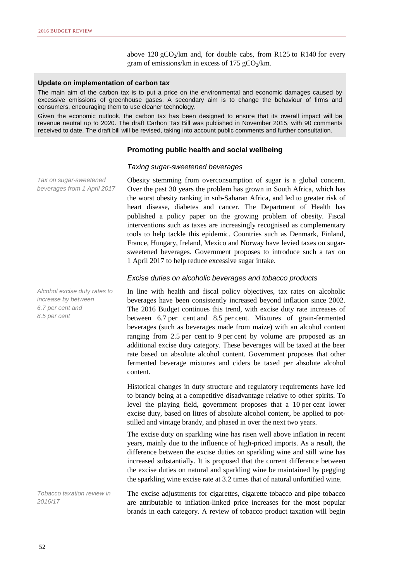above  $120 \text{ gCO}_2/\text{km}$  and, for double cabs, from R125 to R140 for every gram of emissions/km in excess of 175 gCO<sub>2</sub>/km.

### **Update on implementation of carbon tax**

The main aim of the carbon tax is to put a price on the environmental and economic damages caused by excessive emissions of greenhouse gases. A secondary aim is to change the behaviour of firms and consumers, encouraging them to use cleaner technology.

Given the economic outlook, the carbon tax has been designed to ensure that its overall impact will be revenue neutral up to 2020. The draft Carbon Tax Bill was published in November 2015, with 90 comments received to date. The draft bill will be revised, taking into account public comments and further consultation.

# **Promoting public health and social wellbeing**

### *Taxing sugar-sweetened beverages*

*Tax on sugar-sweetened beverages from 1 April 2017* Obesity stemming from overconsumption of sugar is a global concern. Over the past 30 years the problem has grown in South Africa, which has the worst obesity ranking in sub-Saharan Africa, and led to greater risk of heart disease, diabetes and cancer. The Department of Health has published a policy paper on the growing problem of obesity. Fiscal interventions such as taxes are increasingly recognised as complementary tools to help tackle this epidemic. Countries such as Denmark, Finland, France, Hungary, Ireland, Mexico and Norway have levied taxes on sugarsweetened beverages. Government proposes to introduce such a tax on 1 April 2017 to help reduce excessive sugar intake.

### *Excise duties on alcoholic beverages and tobacco products*

In line with health and fiscal policy objectives, tax rates on alcoholic beverages have been consistently increased beyond inflation since 2002. The 2016 Budget continues this trend, with excise duty rate increases of between 6.7 per cent and 8.5 per cent. Mixtures of grain-fermented beverages (such as beverages made from maize) with an alcohol content ranging from 2.5 per cent to 9 per cent by volume are proposed as an additional excise duty category. These beverages will be taxed at the beer rate based on absolute alcohol content. Government proposes that other fermented beverage mixtures and ciders be taxed per absolute alcohol content.

Historical changes in duty structure and regulatory requirements have led to brandy being at a competitive disadvantage relative to other spirits. To level the playing field, government proposes that a 10 per cent lower excise duty, based on litres of absolute alcohol content, be applied to potstilled and vintage brandy, and phased in over the next two years.

The excise duty on sparkling wine has risen well above inflation in recent years, mainly due to the influence of high-priced imports. As a result, the difference between the excise duties on sparkling wine and still wine has increased substantially. It is proposed that the current difference between the excise duties on natural and sparkling wine be maintained by pegging the sparkling wine excise rate at 3.2 times that of natural unfortified wine.

*Tobacco taxation review in 2016/17*

The excise adjustments for cigarettes, cigarette tobacco and pipe tobacco are attributable to inflation-linked price increases for the most popular brands in each category. A review of tobacco product taxation will begin

*Alcohol excise duty rates to increase by between 6.7 per cent and 8.5 per cent*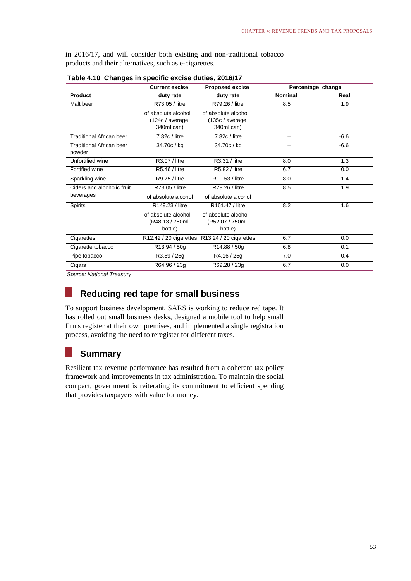in 2016/17, and will consider both existing and non-traditional tobacco products and their alternatives, such as e-cigarettes.

|                                           | <b>Current excise</b>                                | <b>Proposed excise</b>                                | Percentage change |        |
|-------------------------------------------|------------------------------------------------------|-------------------------------------------------------|-------------------|--------|
| <b>Product</b>                            | duty rate                                            | duty rate                                             | <b>Nominal</b>    | Real   |
| Malt beer                                 | R73.05 / litre                                       | R79.26 / litre                                        | 8.5               | 1.9    |
|                                           | of absolute alcohol<br>(124c / average<br>340ml can) | of absolute alcohol<br>(135c / average)<br>340ml can) |                   |        |
| Traditional African beer                  | 7.82c / litre                                        | 7.82c / litre                                         |                   | $-6.6$ |
| <b>Traditional African beer</b><br>powder | 34.70c / kg                                          | 34.70c / kg                                           |                   | $-6.6$ |
| Unfortified wine                          | R3.07 / litre                                        | R3.31 / litre                                         | 8.0               | 1.3    |
| Fortified wine                            | R5.46 / litre                                        | R5.82 / litre                                         | 6.7               | 0.0    |
| Sparkling wine                            | R9.75 / litre                                        | R10.53 / litre                                        | 8.0               | 1.4    |
| Ciders and alcoholic fruit                | R73.05 / litre                                       | R79.26 / litre                                        | 8.5               | 1.9    |
| beverages                                 | of absolute alcohol                                  | of absolute alcohol                                   |                   |        |
| <b>Spirits</b>                            | R149.23 / litre                                      | R161.47 / litre                                       | 8.2               | 1.6    |
|                                           | of absolute alcohol<br>(R48.13 / 750ml<br>bottle)    | of absolute alcohol<br>(R52.07 / 750ml<br>bottle)     |                   |        |
| Cigarettes                                | R12.42 / 20 cigarettes                               | $R13.24 / 20$ cigarettes                              | 6.7               | 0.0    |
| Cigarette tobacco                         | R <sub>13.94</sub> / 50g                             | R14.88 / 50g                                          | 6.8               | 0.1    |
| Pipe tobacco                              | R3.89 / 25g                                          | R4.16 / 25g                                           | 7.0               | 0.4    |
| Cigars                                    | R64.96 / 23g                                         | R69.28 / 23g                                          | 6.7               | 0.0    |

**Table 4.10 Changes in specific excise duties, 2016/17**

*Source: National Treasury*

### **Reducing red tape for small business** ×

To support business development, SARS is working to reduce red tape. It has rolled out small business desks, designed a mobile tool to help small firms register at their own premises, and implemented a single registration process, avoiding the need to reregister for different taxes.

# **Summary**

Resilient tax revenue performance has resulted from a coherent tax policy framework and improvements in tax administration. To maintain the social compact, government is reiterating its commitment to efficient spending that provides taxpayers with value for money.